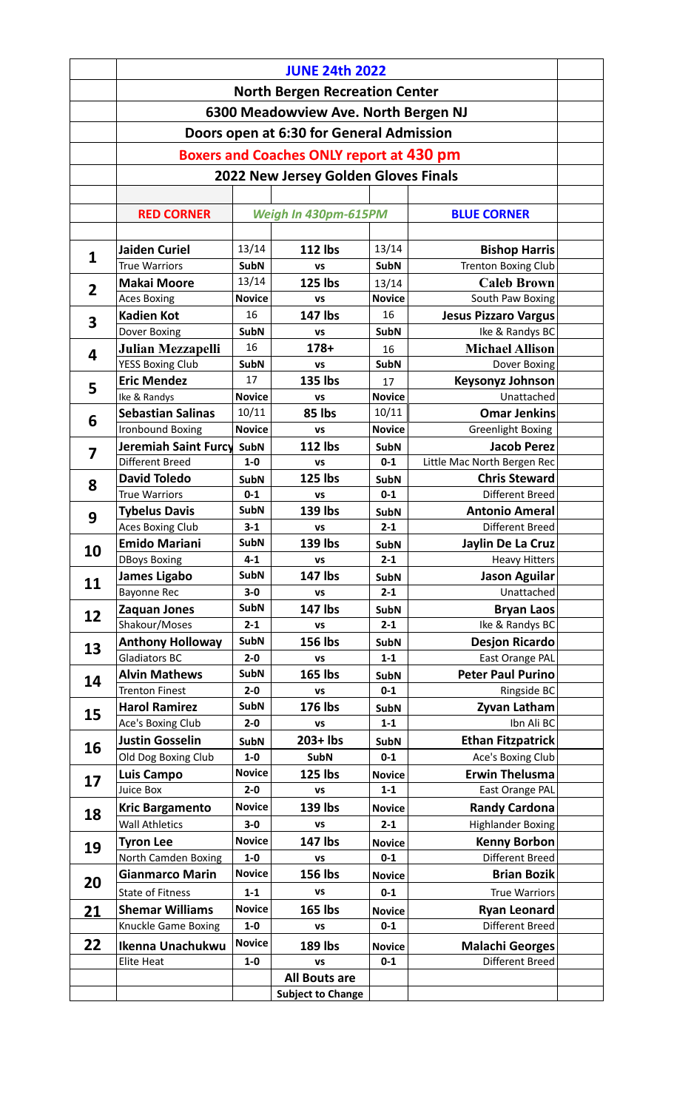|                         | <b>JUNE 24th 2022</b>                                                 |                        |                                                 |                        |                                           |  |  |  |  |
|-------------------------|-----------------------------------------------------------------------|------------------------|-------------------------------------------------|------------------------|-------------------------------------------|--|--|--|--|
|                         | <b>North Bergen Recreation Center</b>                                 |                        |                                                 |                        |                                           |  |  |  |  |
|                         | 6300 Meadowview Ave. North Bergen NJ                                  |                        |                                                 |                        |                                           |  |  |  |  |
|                         |                                                                       |                        |                                                 |                        |                                           |  |  |  |  |
|                         | Doors open at 6:30 for General Admission                              |                        |                                                 |                        |                                           |  |  |  |  |
|                         |                                                                       |                        | <b>Boxers and Coaches ONLY report at 430 pm</b> |                        |                                           |  |  |  |  |
|                         | 2022 New Jersey Golden Gloves Finals                                  |                        |                                                 |                        |                                           |  |  |  |  |
|                         |                                                                       |                        |                                                 |                        |                                           |  |  |  |  |
|                         | <b>RED CORNER</b>                                                     | Weigh In 430pm-615PM   |                                                 | <b>BLUE CORNER</b>     |                                           |  |  |  |  |
|                         |                                                                       |                        |                                                 |                        |                                           |  |  |  |  |
| $\mathbf{1}$            | <b>Jaiden Curiel</b>                                                  | 13/14                  | <b>112 lbs</b>                                  | 13/14                  | <b>Bishop Harris</b>                      |  |  |  |  |
|                         | <b>True Warriors</b>                                                  | <b>SubN</b>            | VS                                              | <b>SubN</b>            | <b>Trenton Boxing Club</b>                |  |  |  |  |
| $\overline{2}$          | <b>Makai Moore</b>                                                    | 13/14                  | <b>125 lbs</b>                                  | 13/14                  | <b>Caleb Brown</b>                        |  |  |  |  |
|                         | <b>Aces Boxing</b>                                                    | <b>Novice</b>          | <b>VS</b>                                       | <b>Novice</b>          | South Paw Boxing                          |  |  |  |  |
| 3                       | <b>Kadien Kot</b>                                                     | 16                     | 147 lbs                                         | 16                     | <b>Jesus Pizzaro Vargus</b>               |  |  |  |  |
|                         | Dover Boxing                                                          | <b>SubN</b><br>16      | <b>VS</b><br>178+                               | <b>SubN</b>            | Ike & Randys BC<br><b>Michael Allison</b> |  |  |  |  |
| $\overline{\mathbf{4}}$ | Julian Mezzapelli<br><b>YESS Boxing Club</b>                          | <b>SubN</b>            | <b>VS</b>                                       | 16<br><b>SubN</b>      | Dover Boxing                              |  |  |  |  |
|                         | <b>Eric Mendez</b>                                                    | 17                     | <b>135 lbs</b>                                  | 17                     | <b>Keysonyz Johnson</b>                   |  |  |  |  |
| 5                       | Ike & Randys                                                          | <b>Novice</b>          | <b>VS</b>                                       | <b>Novice</b>          | Unattached                                |  |  |  |  |
|                         | <b>Sebastian Salinas</b>                                              | 10/11                  | 85 lbs                                          | 10/11                  | <b>Omar Jenkins</b>                       |  |  |  |  |
| 6                       | Ironbound Boxing                                                      | <b>Novice</b>          | VS                                              | <b>Novice</b>          | <b>Greenlight Boxing</b>                  |  |  |  |  |
| $\overline{\mathbf{z}}$ | Jeremiah Saint Furcy                                                  | <b>SubN</b>            | <b>112 lbs</b>                                  | <b>SubN</b>            | <b>Jacob Perez</b>                        |  |  |  |  |
|                         | Different Breed                                                       | $1-0$                  | <b>VS</b>                                       | $0 - 1$                | Little Mac North Bergen Rec               |  |  |  |  |
| 8                       | <b>David Toledo</b>                                                   | <b>SubN</b>            | <b>125 lbs</b>                                  | <b>SubN</b>            | <b>Chris Steward</b>                      |  |  |  |  |
|                         | <b>True Warriors</b>                                                  | $0 - 1$                | VS                                              | $0 - 1$                | Different Breed                           |  |  |  |  |
| 9                       | <b>Tybelus Davis</b><br>Aces Boxing Club                              | <b>SubN</b><br>$3 - 1$ | 139 lbs<br><b>VS</b>                            | <b>SubN</b><br>$2 - 1$ | <b>Antonio Ameral</b><br>Different Breed  |  |  |  |  |
|                         | <b>Emido Mariani</b>                                                  | <b>SubN</b>            | 139 lbs                                         | <b>SubN</b>            | Jaylin De La Cruz                         |  |  |  |  |
| 10                      | <b>DBoys Boxing</b>                                                   | $4 - 1$                | <b>VS</b>                                       | $2 - 1$                | <b>Heavy Hitters</b>                      |  |  |  |  |
|                         | James Ligabo                                                          | <b>SubN</b>            | 147 lbs                                         | <b>SubN</b>            | <b>Jason Aguilar</b>                      |  |  |  |  |
| 11                      | <b>Bayonne Rec</b>                                                    | $3-0$                  | <b>VS</b>                                       | $2 - 1$                | Unattached                                |  |  |  |  |
| 12                      | Zaquan Jones                                                          | <b>SubN</b>            | <b>147 lbs</b>                                  | <b>SubN</b>            | <b>Bryan Laos</b>                         |  |  |  |  |
|                         | Shakour/Moses                                                         | $2 - 1$                | <b>VS</b>                                       | $2 - 1$                | Ike & Randys BC                           |  |  |  |  |
| 13                      | <b>Anthony Holloway</b>                                               | <b>SubN</b>            | 156 lbs                                         | <b>SubN</b>            | <b>Desjon Ricardo</b>                     |  |  |  |  |
|                         | <b>Gladiators BC</b>                                                  | $2 - 0$                | <b>VS</b>                                       | $1 - 1$                | East Orange PAL                           |  |  |  |  |
| 14                      | <b>Alvin Mathews</b>                                                  | <b>SubN</b>            | <b>165 lbs</b>                                  | <b>SubN</b>            | <b>Peter Paul Purino</b>                  |  |  |  |  |
|                         | <b>Trenton Finest</b><br><b>Harol Ramirez</b>                         | $2 - 0$<br><b>SubN</b> | <b>VS</b><br>176 lbs                            | $0 - 1$                | Ringside BC<br>Zyvan Latham               |  |  |  |  |
| 15                      | Ace's Boxing Club                                                     | $2 - 0$                | VS                                              | <b>SubN</b><br>$1 - 1$ | Ibn Ali BC                                |  |  |  |  |
|                         | <b>Justin Gosselin</b>                                                | <b>SubN</b>            | $203+$ lbs                                      | <b>SubN</b>            | <b>Ethan Fitzpatrick</b>                  |  |  |  |  |
| 16                      | Old Dog Boxing Club                                                   | $1-0$                  | <b>SubN</b>                                     | $0 - 1$                | Ace's Boxing Club                         |  |  |  |  |
|                         | Luis Campo                                                            | <b>Novice</b>          | 125 lbs                                         | <b>Novice</b>          | <b>Erwin Thelusma</b>                     |  |  |  |  |
| 17                      | Juice Box                                                             | $2 - 0$                | VS                                              | $1 - 1$                | East Orange PAL                           |  |  |  |  |
| 18                      | <b>Kric Bargamento</b>                                                | <b>Novice</b>          | 139 lbs                                         | <b>Novice</b>          | <b>Randy Cardona</b>                      |  |  |  |  |
|                         | <b>Wall Athletics</b>                                                 | $3-0$                  | <b>VS</b>                                       | $2 - 1$                | <b>Highlander Boxing</b>                  |  |  |  |  |
| 19                      | <b>Tyron Lee</b>                                                      | <b>Novice</b>          | 147 lbs                                         | <b>Novice</b>          | <b>Kenny Borbon</b>                       |  |  |  |  |
|                         | <b>North Camden Boxing</b>                                            | $1-0$                  | VS                                              | $0 - 1$                | Different Breed                           |  |  |  |  |
| 20                      | <b>Gianmarco Marin</b>                                                | <b>Novice</b>          | <b>156 lbs</b>                                  | <b>Novice</b>          | <b>Brian Bozik</b>                        |  |  |  |  |
|                         | <b>State of Fitness</b>                                               | $1 - 1$                | VS                                              | $0 - 1$                | <b>True Warriors</b>                      |  |  |  |  |
| 21                      | <b>Shemar Williams</b>                                                | <b>Novice</b>          | <b>165 lbs</b>                                  | <b>Novice</b>          | <b>Ryan Leonard</b>                       |  |  |  |  |
|                         | Knuckle Game Boxing                                                   | $1-0$                  | VS                                              | $0 - 1$                | Different Breed                           |  |  |  |  |
| 22                      | Ikenna Unachukwu                                                      | <b>Novice</b>          | <b>189 lbs</b>                                  | <b>Novice</b>          | <b>Malachi Georges</b>                    |  |  |  |  |
|                         | Different Breed<br><b>Elite Heat</b><br>$1-0$<br>$0 - 1$<br><b>VS</b> |                        |                                                 |                        |                                           |  |  |  |  |
|                         | <b>All Bouts are</b><br><b>Subject to Change</b>                      |                        |                                                 |                        |                                           |  |  |  |  |
|                         |                                                                       |                        |                                                 |                        |                                           |  |  |  |  |